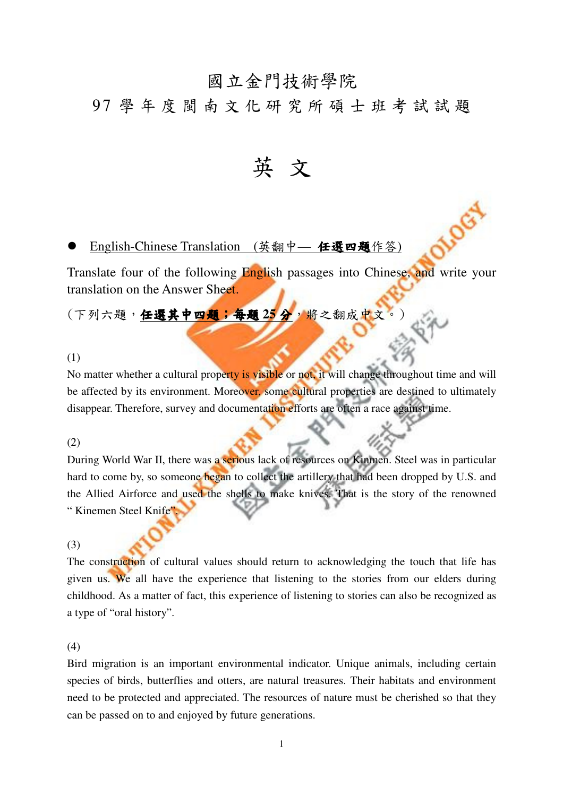# 國立金門技術學院

## 9 7 學 年 度 閩 南 文 化 研 究 所 碩 士 班 考 試 試 題

英 文

### English-Chinese Translation (英翻中 - 任選四題作答)

Translate four of the following English passages into Chinese, and write your translation on the Answer Sheet.

(下列六題, 任選其中四題;每題25分,將之翻成中文

#### (1)

No matter whether a cultural property is visible or not, it will change throughout time and will be affected by its environment. Moreover, some cultural properties are destined to ultimately disappear. Therefore, survey and documentation efforts are often a race against time.

#### (2)

During World War II, there was a serious lack of resources on Kinmen. Steel was in particular hard to come by, so someone began to collect the artillery that had been dropped by U.S. and the Allied Airforce and used the shells to make knives. That is the story of the renowned " Kinemen Steel Knife"

#### (3)

The construction of cultural values should return to acknowledging the touch that life has given us. We all have the experience that listening to the stories from our elders during childhood. As a matter of fact, this experience of listening to stories can also be recognized as a type of "oral history".

#### (4)

Bird migration is an important environmental indicator. Unique animals, including certain species of birds, butterflies and otters, are natural treasures. Their habitats and environment need to be protected and appreciated. The resources of nature must be cherished so that they can be passed on to and enjoyed by future generations.